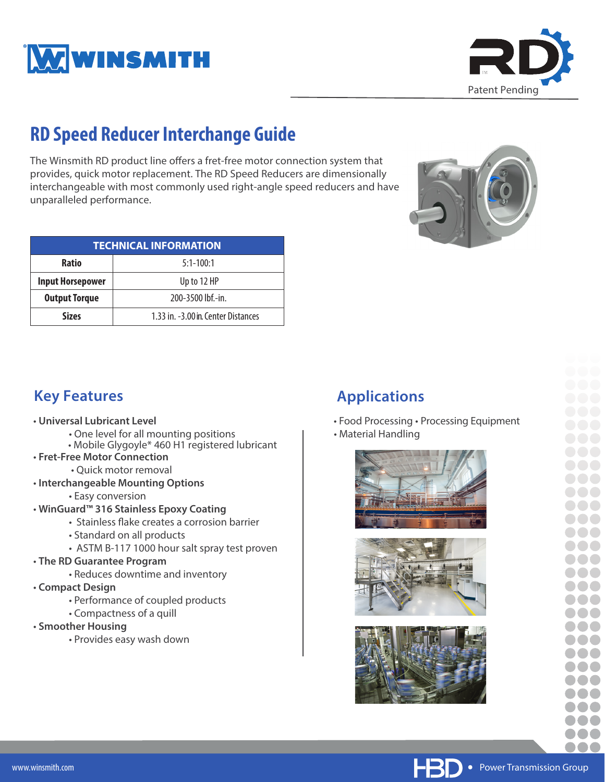



# **RD Speed Reducer Interchange Guide**

The Winsmith RD product line offers a fret-free motor connection system that provides, quick motor replacement. The RD Speed Reducers are dimensionally interchangeable with most commonly used right-angle speed reducers and have unparalleled performance.

| <b>TECHNICAL INFORMATION</b> |                                     |  |  |  |  |  |  |  |  |  |
|------------------------------|-------------------------------------|--|--|--|--|--|--|--|--|--|
| <b>Ratio</b>                 | $5:1-100:1$                         |  |  |  |  |  |  |  |  |  |
| <b>Input Horsepower</b>      | Up to 12 HP                         |  |  |  |  |  |  |  |  |  |
| <b>Output Torque</b>         | 200-3500 lbf.-in.                   |  |  |  |  |  |  |  |  |  |
| <b>Sizes</b>                 | 1.33 in. -3.00 in. Center Distances |  |  |  |  |  |  |  |  |  |



#### **Key Features**

- **Universal Lubricant Level**
	- One level for all mounting positions
	- Mobile Glygoyle\* 460 H1 registered lubricant
- **Fret-Free Motor Connection**
	- Quick motor removal
- **Interchangeable Mounting Options**
	- Easy conversion
- **WinGuard™ 316 Stainless Epoxy Coating**
	- Stainless flake creates a corrosion barrier
	- Standard on all products
	- ASTM B-117 1000 hour salt spray test proven
- **The RD Guarantee Program**
	- Reduces downtime and inventory
- **Compact Design**
	- Performance of coupled products
	- Compactness of a quill
- **Smoother Housing**
	- Provides easy wash down

### **Applications**

- Food Processing Processing Equipment
- Material Handling